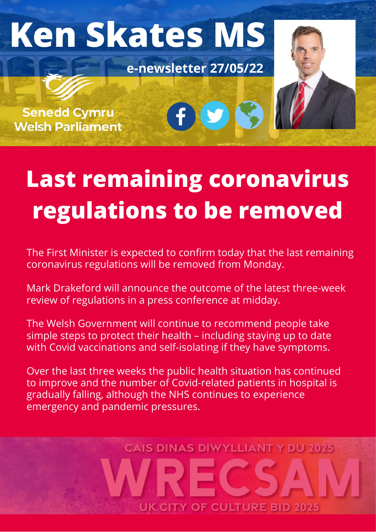

# **Last remaining coronavirus regulations to be removed**

The First Minister is expected to confirm today that the last remaining coronavirus regulations will be removed from Monday.

Mark Drakeford will announce the outcome of the latest three-week review of regulations in a press conference at midday.

The Welsh Government will continue to recommend people take simple steps to protect their health – including staying up to date with Covid vaccinations and self-isolating if they have symptoms.

Over the last three weeks the public health situation has continued to improve and the number of Covid-related patients in hospital is gradually falling, although the NHS continues to experience emergency and pandemic pressures.

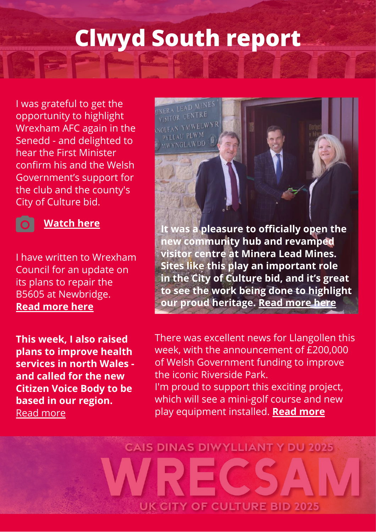### **Clwyd South report**

NERA LEAD MINES VISITOR CENTRE NOLFAN YMWELWYR PYLLAU PLWM MWYNGLAWDD

I was grateful to get the opportunity to highlight [Wrexham](https://www.facebook.com/wrexhamfootballclub/?__cft__[0]=AZWE3Ka1EJmYcz7uoH7kMOZPUWrgsLrqHoKaY7kbYvzel6ID9i74JAMmBkpNhV4OaCU0p0XSEshl8qCZ5CWihPZNqIZv6-wh5ZzNb9RLjw0JHtzpGM3dk27mlj8KpWCiBi1TOT8Gs5b_k8SQCzQnrBraXKbFAFu6eRQgxVP3qxmjEw&__tn__=kK-R) AFC again in the Senedd - and delighted to hear the First Minister confirm his and the [Welsh](https://www.facebook.com/WelshLab?__cft__[0]=AZWE3Ka1EJmYcz7uoH7kMOZPUWrgsLrqHoKaY7kbYvzel6ID9i74JAMmBkpNhV4OaCU0p0XSEshl8qCZ5CWihPZNqIZv6-wh5ZzNb9RLjw0JHtzpGM3dk27mlj8KpWCiBi1TOT8Gs5b_k8SQCzQnrBraXKbFAFu6eRQgxVP3qxmjEw&__tn__=-]K-R) Government's support for the club and the county's City of Culture bid.



#### **[Watch](https://fb.watch/ddwirlo7qj/) here**

I have written to Wrexham Council for an update on its plans to repair the B5605 at Newbridge. **Read [more](https://www.facebook.com/KenSkatesMS/) here**

**This week, I also raised plans to improve health services in north Wales and called for the new Citizen Voice Body to be based in our region.** Read more

**It was a pleasure to officially open the new community hub and revamped visitor centre at [Minera](https://www.facebook.com/VisitMinera/?__cft__[0]=AZU6BCMBw891XFD3BranJpO2xCA2whCKcO3rcIcnGTTeAhywkM_hClR-1QLNmQohbjmlbH1ylQ8NZxTPwTAvU8A4_5PS61cyLQ3yEGqG2VyjdP7pPmKzUO0hA0lnuE-umD4gF6Xe3VOvq6_Zal7eORZS&__tn__=kK-R) Lead Mines. Sites like this play an important role in the City of Culture bid, and it's great to see the work being done to highlight our proud heritage. Read [more](https://www.leaderlive.co.uk/news/20151101.ms-opens-revamped-facilities-wrexhams-minera-lead-mines/?fbclid=IwAR1glWRAzqNIR4aAr0xHPSTwktkq0OXpcH0Y1QSFuEod0kTpNLQBqDmEHh8) here**

There was excellent news for Llangollen this week, with the announcement of £200,000 of Welsh Government funding to improve the iconic Riverside Park. I'm proud to support this exciting project, which will see a mini-golf course and new play equipment installed. **Read [more](http://llanblogger.blogspot.com/2022/05/riverside-park-lands-200000-windfall.html)**

# **CAIS DINAS DIWYLLIANT Y DU 2025 UK CITY OF CULTURE BID 2025**